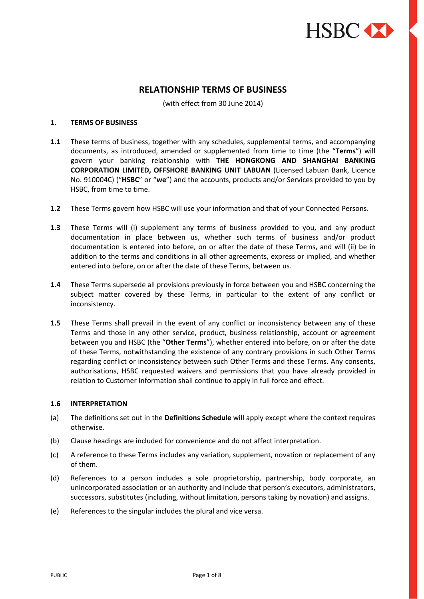

# **RELATIONSHIP TERMS OF BUSINESS**

(with effect from 30 June 2014)

# **1. TERMS OF BUSINESS**

- **1.1** These terms of business, together with any schedules, supplemental terms, and accompanying documents, as introduced, amended or supplemented from time to time (the "**Terms**") will govern your banking relationship with **THE HONGKONG AND SHANGHAI BANKING CORPORATION LIMITED, OFFSHORE BANKING UNIT LABUAN** (Licensed Labuan Bank, Licence No. 910004C) ("**HSBC**" or "**we**") and the accounts, products and/or Services provided to you by HSBC, from time to time.
- **1.2** These Terms govern how HSBC will use your information and that of your Connected Persons.
- **1.3** These Terms will (i) supplement any terms of business provided to you, and any product documentation in place between us, whether such terms of business and/or product documentation is entered into before, on or after the date of these Terms, and will (ii) be in addition to the terms and conditions in all other agreements, express or implied, and whether entered into before, on or after the date of these Terms, between us.
- **1.4** These Terms supersede all provisions previously in force between you and HSBC concerning the subject matter covered by these Terms, in particular to the extent of any conflict or inconsistency.
- **1.5** These Terms shall prevail in the event of any conflict or inconsistency between any of these Terms and those in any other service, product, business relationship, account or agreement between you and HSBC (the "**Other Terms**"), whether entered into before, on or after the date of these Terms, notwithstanding the existence of any contrary provisions in such Other Terms regarding conflict or inconsistency between such Other Terms and these Terms. Any consents, authorisations, HSBC requested waivers and permissions that you have already provided in relation to Customer Information shall continue to apply in full force and effect.

#### **1.6 INTERPRETATION**

- (a) The definitions set out in the **Definitions Schedule** will apply except where the context requires otherwise.
- (b) Clause headings are included for convenience and do not affect interpretation.
- (c) A reference to these Terms includes any variation, supplement, novation or replacement of any of them.
- (d) References to a person includes a sole proprietorship, partnership, body corporate, an unincorporated association or an authority and include that person's executors, administrators, successors, substitutes (including, without limitation, persons taking by novation) and assigns.
- (e) References to the singular includes the plural and vice versa.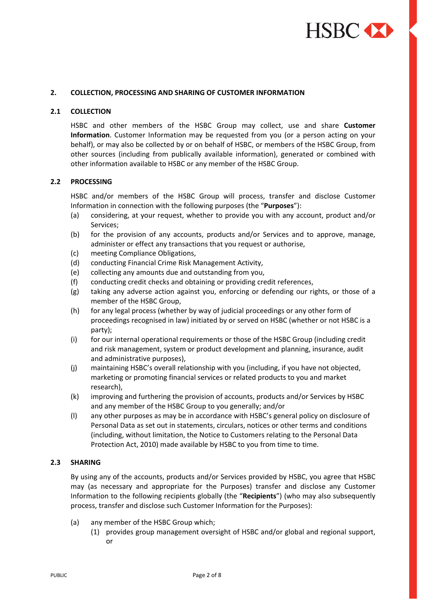

### **2. COLLECTION, PROCESSING AND SHARING OF CUSTOMER INFORMATION**

#### **2.1 COLLECTION**

HSBC and other members of the HSBC Group may collect, use and share **Customer Information**. Customer Information may be requested from you (or a person acting on your behalf), or may also be collected by or on behalf of HSBC, or members of the HSBC Group, from other sources (including from publically available information), generated or combined with other information available to HSBC or any member of the HSBC Group.

### **2.2 PROCESSING**

HSBC and/or members of the HSBC Group will process, transfer and disclose Customer Information in connection with the following purposes (the "**Purposes**"):

- (a) considering, at your request, whether to provide you with any account, product and/or Services;
- (b) for the provision of any accounts, products and/or Services and to approve, manage, administer or effect any transactions that you request or authorise,
- (c) meeting Compliance Obligations,
- (d) conducting Financial Crime Risk Management Activity,
- (e) collecting any amounts due and outstanding from you,
- (f) conducting credit checks and obtaining or providing credit references,
- (g) taking any adverse action against you, enforcing or defending our rights, or those of a member of the HSBC Group,
- (h) for any legal process (whether by way of judicial proceedings or any other form of proceedings recognised in law) initiated by or served on HSBC (whether or not HSBC is a party);
- (i) for our internal operational requirements or those of the HSBC Group (including credit and risk management, system or product development and planning, insurance, audit and administrative purposes),
- (j) maintaining HSBC's overall relationship with you (including, if you have not objected, marketing or promoting financial services or related products to you and market research),
- (k) improving and furthering the provision of accounts, products and/or Services by HSBC and any member of the HSBC Group to you generally; and/or
- (l) any other purposes as may be in accordance with HSBC's general policy on disclosure of Personal Data as set out in statements, circulars, notices or other terms and conditions (including, without limitation, the Notice to Customers relating to the Personal Data Protection Act, 2010) made available by HSBC to you from time to time.

### **2.3 SHARING**

By using any of the accounts, products and/or Services provided by HSBC, you agree that HSBC may (as necessary and appropriate for the Purposes) transfer and disclose any Customer Information to the following recipients globally (the "**Recipients**") (who may also subsequently process, transfer and disclose such Customer Information for the Purposes):

- (a) any member of the HSBC Group which;
	- (1) provides group management oversight of HSBC and/or global and regional support, or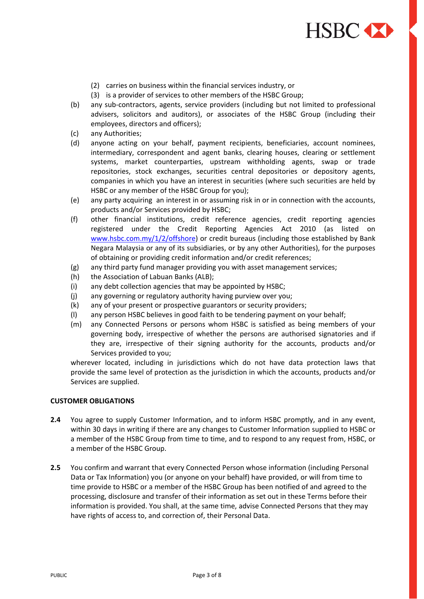

- (2) carries on business within the financial services industry, or
- (3) is a provider of services to other members of the HSBC Group;
- (b) any sub-contractors, agents, service providers (including but not limited to professional advisers, solicitors and auditors), or associates of the HSBC Group (including their employees, directors and officers);
- (c) any Authorities;
- (d) anyone acting on your behalf, payment recipients, beneficiaries, account nominees, intermediary, correspondent and agent banks, clearing houses, clearing or settlement systems, market counterparties, upstream withholding agents, swap or trade repositories, stock exchanges, securities central depositories or depository agents, companies in which you have an interest in securities (where such securities are held by HSBC or any member of the HSBC Group for you);
- (e) any party acquiring an interest in or assuming risk in or in connection with the accounts, products and/or Services provided by HSBC;
- (f) other financial institutions, credit reference agencies, credit reporting agencies registered under the Credit Reporting Agencies Act 2010 (as listed on [www.hsbc.com.my/1/2/offshore\)](http://www.hsbc.com.my/1/2/offshore) or credit bureaus (including those established by Bank Negara Malaysia or any of its subsidiaries, or by any other Authorities), for the purposes of obtaining or providing credit information and/or credit references;
- (g) any third party fund manager providing you with asset management services;
- (h) the Association of Labuan Banks (ALB);
- (i) any debt collection agencies that may be appointed by HSBC;
- (j) any governing or regulatory authority having purview over you;
- (k) any of your present or prospective guarantors or security providers;
- (l) any person HSBC believes in good faith to be tendering payment on your behalf;
- (m) any Connected Persons or persons whom HSBC is satisfied as being members of your governing body, irrespective of whether the persons are authorised signatories and if they are, irrespective of their signing authority for the accounts, products and/or Services provided to you;

wherever located, including in jurisdictions which do not have data protection laws that provide the same level of protection as the jurisdiction in which the accounts, products and/or Services are supplied.

### **CUSTOMER OBLIGATIONS**

- **2.4** You agree to supply Customer Information, and to inform HSBC promptly, and in any event, within 30 days in writing if there are any changes to Customer Information supplied to HSBC or a member of the HSBC Group from time to time, and to respond to any request from, HSBC, or a member of the HSBC Group.
- **2.5** You confirm and warrant that every Connected Person whose information (including Personal Data or Tax Information) you (or anyone on your behalf) have provided, or will from time to time provide to HSBC or a member of the HSBC Group has been notified of and agreed to the processing, disclosure and transfer of their information as set out in these Terms before their information is provided. You shall, at the same time, advise Connected Persons that they may have rights of access to, and correction of, their Personal Data.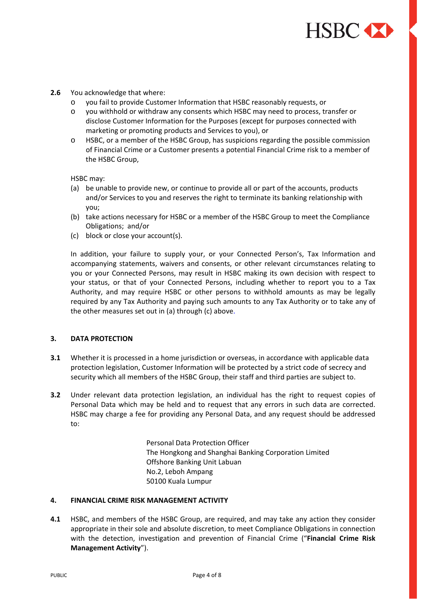

### **2.6** You acknowledge that where:

- o you fail to provide Customer Information that HSBC reasonably requests, or
- o you withhold or withdraw any consents which HSBC may need to process, transfer or disclose Customer Information for the Purposes (except for purposes connected with marketing or promoting products and Services to you), or
- o HSBC, or a member of the HSBC Group, has suspicions regarding the possible commission of Financial Crime or a Customer presents a potential Financial Crime risk to a member of the HSBC Group,

HSBC may:

- (a) be unable to provide new, or continue to provide all or part of the accounts, products and/or Services to you and reserves the right to terminate its banking relationship with you;
- (b) take actions necessary for HSBC or a member of the HSBC Group to meet the Compliance Obligations; and/or
- (c) block or close your account(s).

In addition, your failure to supply your, or your Connected Person's, Tax Information and accompanying statements, waivers and consents, or other relevant circumstances relating to you or your Connected Persons, may result in HSBC making its own decision with respect to your status, or that of your Connected Persons, including whether to report you to a Tax Authority, and may require HSBC or other persons to withhold amounts as may be legally required by any Tax Authority and paying such amounts to any Tax Authority or to take any of the other measures set out in (a) through (c) above.

# **3. DATA PROTECTION**

- **3.1** Whether it is processed in a home jurisdiction or overseas, in accordance with applicable data protection legislation, Customer Information will be protected by a strict code of secrecy and security which all members of the HSBC Group, their staff and third parties are subject to.
- **3.2** Under relevant data protection legislation, an individual has the right to request copies of Personal Data which may be held and to request that any errors in such data are corrected. HSBC may charge a fee for providing any Personal Data, and any request should be addressed to:

Personal Data Protection Officer The Hongkong and Shanghai Banking Corporation Limited Offshore Banking Unit Labuan No.2, Leboh Ampang 50100 Kuala Lumpur

#### **4. FINANCIAL CRIME RISK MANAGEMENT ACTIVITY**

**4.1** HSBC, and members of the HSBC Group, are required, and may take any action they consider appropriate in their sole and absolute discretion, to meet Compliance Obligations in connection with the detection, investigation and prevention of Financial Crime ("**Financial Crime Risk Management Activity**").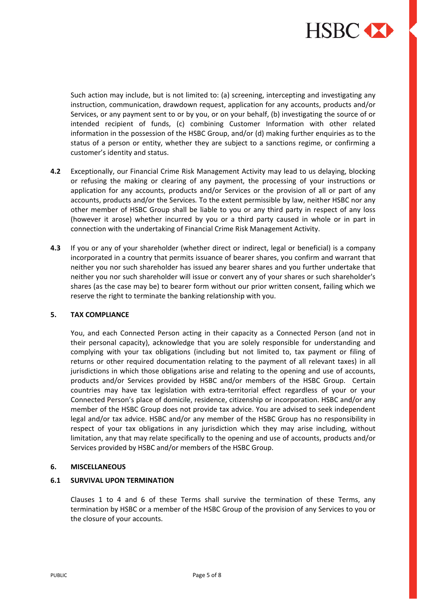

Such action may include, but is not limited to: (a) screening, intercepting and investigating any instruction, communication, drawdown request, application for any accounts, products and/or Services, or any payment sent to or by you, or on your behalf, (b) investigating the source of or intended recipient of funds, (c) combining Customer Information with other related information in the possession of the HSBC Group, and/or (d) making further enquiries as to the status of a person or entity, whether they are subject to a sanctions regime, or confirming a customer's identity and status.

- **4.2** Exceptionally, our Financial Crime Risk Management Activity may lead to us delaying, blocking or refusing the making or clearing of any payment, the processing of your instructions or application for any accounts, products and/or Services or the provision of all or part of any accounts, products and/or the Services*.* To the extent permissible by law, neither HSBC nor any other member of HSBC Group shall be liable to you or any third party in respect of any loss (however it arose) whether incurred by you or a third party caused in whole or in part in connection with the undertaking of Financial Crime Risk Management Activity.
- **4.3** If you or any of your shareholder (whether direct or indirect, legal or beneficial) is a company incorporated in a country that permits issuance of bearer shares, you confirm and warrant that neither you nor such shareholder has issued any bearer shares and you further undertake that neither you nor such shareholder will issue or convert any of your shares or such shareholder's shares (as the case may be) to bearer form without our prior written consent, failing which we reserve the right to terminate the banking relationship with you.

# **5. TAX COMPLIANCE**

You, and each Connected Person acting in their capacity as a Connected Person (and not in their personal capacity), acknowledge that you are solely responsible for understanding and complying with your tax obligations (including but not limited to, tax payment or filing of returns or other required documentation relating to the payment of all relevant taxes) in all jurisdictions in which those obligations arise and relating to the opening and use of accounts, products and/or Services provided by HSBC and/or members of the HSBC Group. Certain countries may have tax legislation with extra-territorial effect regardless of your or your Connected Person's place of domicile, residence, citizenship or incorporation. HSBC and/or any member of the HSBC Group does not provide tax advice. You are advised to seek independent legal and/or tax advice. HSBC and/or any member of the HSBC Group has no responsibility in respect of your tax obligations in any jurisdiction which they may arise including, without limitation, any that may relate specifically to the opening and use of accounts, products and/or Services provided by HSBC and/or members of the HSBC Group.

# **6. MISCELLANEOUS**

# **6.1 SURVIVAL UPON TERMINATION**

Clauses 1 to 4 and 6 of these Terms shall survive the termination of these Terms, any termination by HSBC or a member of the HSBC Group of the provision of any Services to you or the closure of your accounts.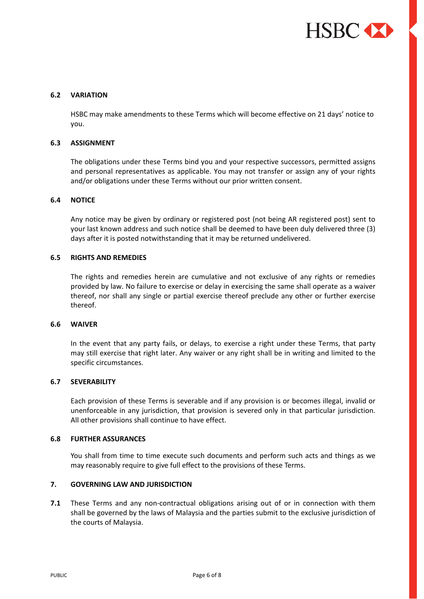

### **6.2 VARIATION**

HSBC may make amendments to these Terms which will become effective on 21 days' notice to you.

### **6.3 ASSIGNMENT**

The obligations under these Terms bind you and your respective successors, permitted assigns and personal representatives as applicable. You may not transfer or assign any of your rights and/or obligations under these Terms without our prior written consent.

# **6.4 NOTICE**

Any notice may be given by ordinary or registered post (not being AR registered post) sent to your last known address and such notice shall be deemed to have been duly delivered three (3) days after it is posted notwithstanding that it may be returned undelivered.

#### **6.5 RIGHTS AND REMEDIES**

The rights and remedies herein are cumulative and not exclusive of any rights or remedies provided by law. No failure to exercise or delay in exercising the same shall operate as a waiver thereof, nor shall any single or partial exercise thereof preclude any other or further exercise thereof.

### **6.6 WAIVER**

In the event that any party fails, or delays, to exercise a right under these Terms, that party may still exercise that right later. Any waiver or any right shall be in writing and limited to the specific circumstances.

#### **6.7 SEVERABILITY**

Each provision of these Terms is severable and if any provision is or becomes illegal, invalid or unenforceable in any jurisdiction, that provision is severed only in that particular jurisdiction. All other provisions shall continue to have effect.

#### **6.8 FURTHER ASSURANCES**

You shall from time to time execute such documents and perform such acts and things as we may reasonably require to give full effect to the provisions of these Terms.

# **7. GOVERNING LAW AND JURISDICTION**

**7.1** These Terms and any non-contractual obligations arising out of or in connection with them shall be governed by the laws of Malaysia and the parties submit to the exclusive jurisdiction of the courts of Malaysia.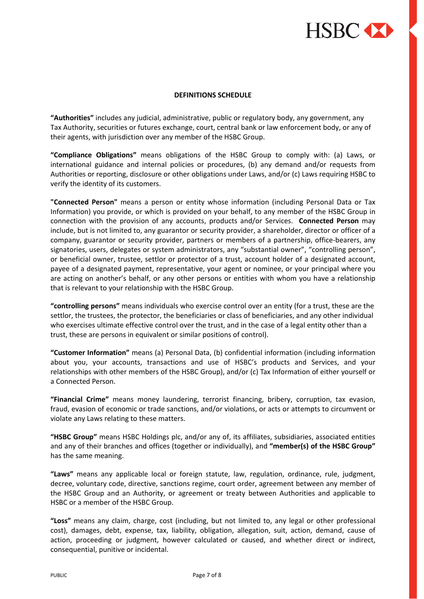

### **DEFINITIONS SCHEDULE**

**"Authorities"** includes any judicial, administrative, public or regulatory body, any government, any Tax Authority, securities or futures exchange, court, central bank or law enforcement body, or any of their agents, with jurisdiction over any member of the HSBC Group.

**"Compliance Obligations"** means obligations of the HSBC Group to comply with: (a) Laws, or international guidance and internal policies or procedures, (b) any demand and/or requests from Authorities or reporting, disclosure or other obligations under Laws, and/or (c) Laws requiring HSBC to verify the identity of its customers.

**"Connected Person"** means a person or entity whose information (including Personal Data or Tax Information) you provide, or which is provided on your behalf, to any member of the HSBC Group in connection with the provision of any accounts, products and/or Services. **Connected Person** may include, but is not limited to, any guarantor or security provider, a shareholder, director or officer of a company, guarantor or security provider, partners or members of a partnership, office-bearers, any signatories, users, delegates or system administrators, any "substantial owner", "controlling person", or beneficial owner, trustee, settlor or protector of a trust, account holder of a designated account, payee of a designated payment, representative, your agent or nominee, or your principal where you are acting on another's behalf, or any other persons or entities with whom you have a relationship that is relevant to your relationship with the HSBC Group.

**"controlling persons"** means individuals who exercise control over an entity (for a trust, these are the settlor, the trustees, the protector, the beneficiaries or class of beneficiaries, and any other individual who exercises ultimate effective control over the trust, and in the case of a legal entity other than a trust, these are persons in equivalent or similar positions of control).

**"Customer Information"** means (a) Personal Data, (b) confidential information (including information about you, your accounts, transactions and use of HSBC's products and Services, and your relationships with other members of the HSBC Group), and/or (c) Tax Information of either yourself or a Connected Person.

**"Financial Crime"** means money laundering, terrorist financing, bribery, corruption, tax evasion, fraud, evasion of economic or trade sanctions, and/or violations, or acts or attempts to circumvent or violate any Laws relating to these matters.

**"HSBC Group"** means HSBC Holdings plc, and/or any of, its affiliates, subsidiaries, associated entities and any of their branches and offices (together or individually), and **"member(s) of the HSBC Group"** has the same meaning.

**"Laws"** means any applicable local or foreign statute, law, regulation, ordinance, rule, judgment, decree, voluntary code, directive, sanctions regime, court order, agreement between any member of the HSBC Group and an Authority, or agreement or treaty between Authorities and applicable to HSBC or a member of the HSBC Group.

**"Loss"** means any claim, charge, cost (including, but not limited to, any legal or other professional cost), damages, debt, expense, tax, liability, obligation, allegation, suit, action, demand, cause of action, proceeding or judgment, however calculated or caused, and whether direct or indirect, consequential, punitive or incidental.